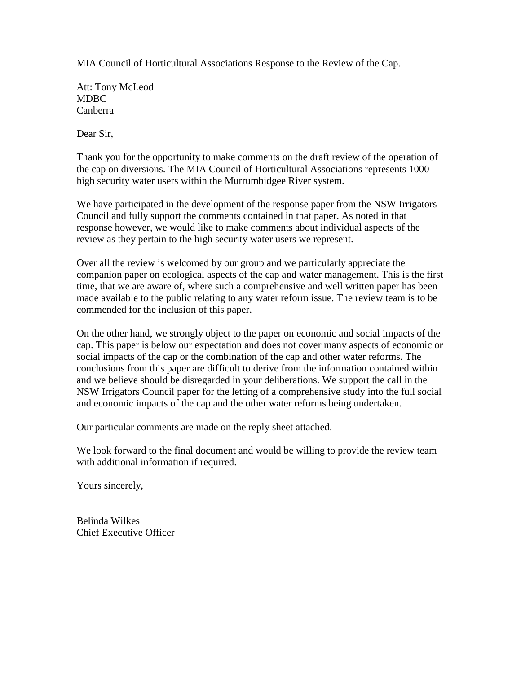MIA Council of Horticultural Associations Response to the Review of the Cap.

Att: Tony McLeod MDBC Canberra

Dear Sir,

Thank you for the opportunity to make comments on the draft review of the operation of the cap on diversions. The MIA Council of Horticultural Associations represents 1000 high security water users within the Murrumbidgee River system.

We have participated in the development of the response paper from the NSW Irrigators Council and fully support the comments contained in that paper. As noted in that response however, we would like to make comments about individual aspects of the review as they pertain to the high security water users we represent.

Over all the review is welcomed by our group and we particularly appreciate the companion paper on ecological aspects of the cap and water management. This is the first time, that we are aware of, where such a comprehensive and well written paper has been made available to the public relating to any water reform issue. The review team is to be commended for the inclusion of this paper.

On the other hand, we strongly object to the paper on economic and social impacts of the cap. This paper is below our expectation and does not cover many aspects of economic or social impacts of the cap or the combination of the cap and other water reforms. The conclusions from this paper are difficult to derive from the information contained within and we believe should be disregarded in your deliberations. We support the call in the NSW Irrigators Council paper for the letting of a comprehensive study into the full social and economic impacts of the cap and the other water reforms being undertaken.

Our particular comments are made on the reply sheet attached.

We look forward to the final document and would be willing to provide the review team with additional information if required.

Yours sincerely,

Belinda Wilkes Chief Executive Officer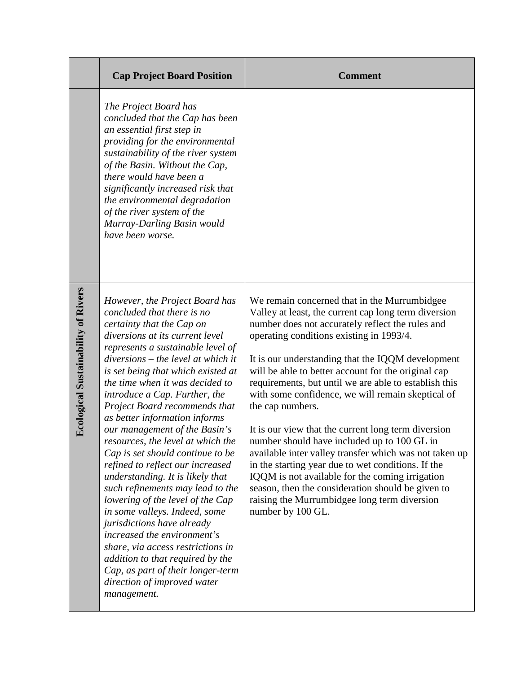|                                            | <b>Cap Project Board Position</b>                                                                                                                                                                                                                                                                                                                                                                                                                                                                                                                                                                                                                                                                                                                                                                                                                                                                         | <b>Comment</b>                                                                                                                                                                                                                                                                                                                                                                                                                                                                                                                                                                                                                                                                                                                                                                                                                                        |
|--------------------------------------------|-----------------------------------------------------------------------------------------------------------------------------------------------------------------------------------------------------------------------------------------------------------------------------------------------------------------------------------------------------------------------------------------------------------------------------------------------------------------------------------------------------------------------------------------------------------------------------------------------------------------------------------------------------------------------------------------------------------------------------------------------------------------------------------------------------------------------------------------------------------------------------------------------------------|-------------------------------------------------------------------------------------------------------------------------------------------------------------------------------------------------------------------------------------------------------------------------------------------------------------------------------------------------------------------------------------------------------------------------------------------------------------------------------------------------------------------------------------------------------------------------------------------------------------------------------------------------------------------------------------------------------------------------------------------------------------------------------------------------------------------------------------------------------|
|                                            | The Project Board has<br>concluded that the Cap has been<br>an essential first step in<br>providing for the environmental<br>sustainability of the river system<br>of the Basin. Without the Cap,<br>there would have been a<br>significantly increased risk that<br>the environmental degradation<br>of the river system of the<br>Murray-Darling Basin would<br>have been worse.                                                                                                                                                                                                                                                                                                                                                                                                                                                                                                                        |                                                                                                                                                                                                                                                                                                                                                                                                                                                                                                                                                                                                                                                                                                                                                                                                                                                       |
| <b>Ecological Sustainability of Rivers</b> | However, the Project Board has<br>concluded that there is no<br>certainty that the Cap on<br>diversions at its current level<br>represents a sustainable level of<br>$diversions - the level at which it$<br>is set being that which existed at<br>the time when it was decided to<br>introduce a Cap. Further, the<br>Project Board recommends that<br>as better information informs<br>our management of the Basin's<br>resources, the level at which the<br>Cap is set should continue to be<br>refined to reflect our increased<br>understanding. It is likely that<br>such refinements may lead to the<br>lowering of the level of the Cap<br>in some valleys. Indeed, some<br>jurisdictions have already<br>increased the environment's<br>share, via access restrictions in<br>addition to that required by the<br>Cap, as part of their longer-term<br>direction of improved water<br>management. | We remain concerned that in the Murrumbidgee<br>Valley at least, the current cap long term diversion<br>number does not accurately reflect the rules and<br>operating conditions existing in 1993/4.<br>It is our understanding that the IQQM development<br>will be able to better account for the original cap<br>requirements, but until we are able to establish this<br>with some confidence, we will remain skeptical of<br>the cap numbers.<br>It is our view that the current long term diversion<br>number should have included up to 100 GL in<br>available inter valley transfer which was not taken up<br>in the starting year due to wet conditions. If the<br>IQQM is not available for the coming irrigation<br>season, then the consideration should be given to<br>raising the Murrumbidgee long term diversion<br>number by 100 GL. |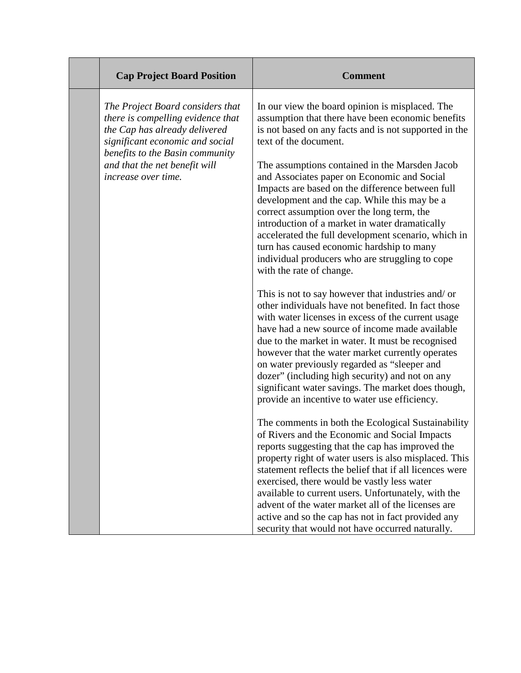| <b>Cap Project Board Position</b>                                                                                                                                                                                                    | <b>Comment</b>                                                                                                                                                                                                                                                                                                                                                                                                                                                                                                                                                                                                                                                                                                                                                                                                                                                                                                                                           |
|--------------------------------------------------------------------------------------------------------------------------------------------------------------------------------------------------------------------------------------|----------------------------------------------------------------------------------------------------------------------------------------------------------------------------------------------------------------------------------------------------------------------------------------------------------------------------------------------------------------------------------------------------------------------------------------------------------------------------------------------------------------------------------------------------------------------------------------------------------------------------------------------------------------------------------------------------------------------------------------------------------------------------------------------------------------------------------------------------------------------------------------------------------------------------------------------------------|
| The Project Board considers that<br>there is compelling evidence that<br>the Cap has already delivered<br>significant economic and social<br>benefits to the Basin community<br>and that the net benefit will<br>increase over time. | In our view the board opinion is misplaced. The<br>assumption that there have been economic benefits<br>is not based on any facts and is not supported in the<br>text of the document.<br>The assumptions contained in the Marsden Jacob<br>and Associates paper on Economic and Social<br>Impacts are based on the difference between full<br>development and the cap. While this may be a<br>correct assumption over the long term, the<br>introduction of a market in water dramatically<br>accelerated the full development scenario, which in<br>turn has caused economic hardship to many<br>individual producers who are struggling to cope<br>with the rate of change.<br>This is not to say however that industries and/ or<br>other individuals have not benefited. In fact those<br>with water licenses in excess of the current usage<br>have had a new source of income made available<br>due to the market in water. It must be recognised |
|                                                                                                                                                                                                                                      | however that the water market currently operates<br>on water previously regarded as "sleeper and<br>dozer" (including high security) and not on any<br>significant water savings. The market does though,<br>provide an incentive to water use efficiency.                                                                                                                                                                                                                                                                                                                                                                                                                                                                                                                                                                                                                                                                                               |
|                                                                                                                                                                                                                                      | The comments in both the Ecological Sustainability<br>of Rivers and the Economic and Social Impacts<br>reports suggesting that the cap has improved the<br>property right of water users is also misplaced. This<br>statement reflects the belief that if all licences were<br>exercised, there would be vastly less water<br>available to current users. Unfortunately, with the<br>advent of the water market all of the licenses are<br>active and so the cap has not in fact provided any<br>security that would not have occurred naturally.                                                                                                                                                                                                                                                                                                                                                                                                        |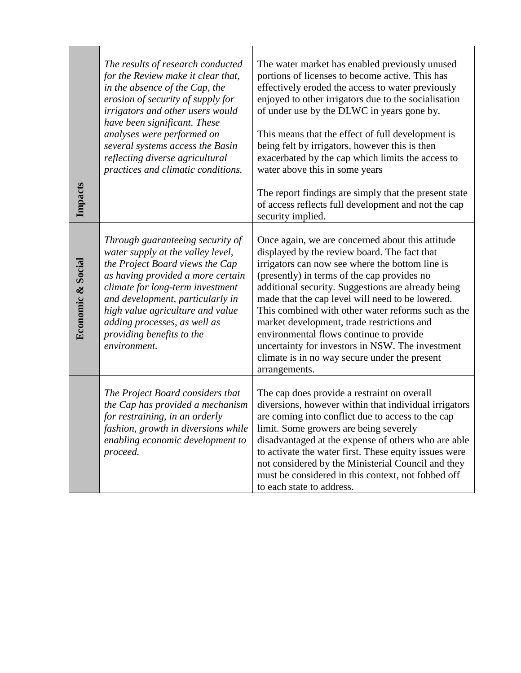| Impacts           | The results of research conducted<br>for the Review make it clear that,<br>in the absence of the Cap, the<br>erosion of security of supply for<br>irrigators and other users would<br>have been significant. These<br>analyses were performed on<br>several systems access the Basin<br>reflecting diverse agricultural<br>practices and climatic conditions. | The water market has enabled previously unused<br>portions of licenses to become active. This has<br>effectively eroded the access to water previously<br>enjoyed to other irrigators due to the socialisation<br>of under use by the DLWC in years gone by.<br>This means that the effect of full development is<br>being felt by irrigators, however this is then<br>exacerbated by the cap which limits the access to<br>water above this in some years<br>The report findings are simply that the present state<br>of access reflects full development and not the cap<br>security implied. |
|-------------------|---------------------------------------------------------------------------------------------------------------------------------------------------------------------------------------------------------------------------------------------------------------------------------------------------------------------------------------------------------------|-------------------------------------------------------------------------------------------------------------------------------------------------------------------------------------------------------------------------------------------------------------------------------------------------------------------------------------------------------------------------------------------------------------------------------------------------------------------------------------------------------------------------------------------------------------------------------------------------|
| Economic & Social | Through guaranteeing security of<br>water supply at the valley level,<br>the Project Board views the Cap<br>as having provided a more certain<br>climate for long-term investment<br>and development, particularly in<br>high value agriculture and value<br>adding processes, as well as<br>providing benefits to the<br>environment.                        | Once again, we are concerned about this attitude<br>displayed by the review board. The fact that<br>irrigators can now see where the bottom line is<br>(presently) in terms of the cap provides no<br>additional security. Suggestions are already being<br>made that the cap level will need to be lowered.<br>This combined with other water reforms such as the<br>market development, trade restrictions and<br>environmental flows continue to provide<br>uncertainty for investors in NSW. The investment<br>climate is in no way secure under the present<br>arrangements.               |
|                   | The Project Board considers that<br>the Cap has provided a mechanism<br>for restraining, in an orderly<br>fashion, growth in diversions while<br>enabling economic development to<br>proceed.                                                                                                                                                                 | The cap does provide a restraint on overall<br>diversions, however within that individual irrigators<br>are coming into conflict due to access to the cap<br>limit. Some growers are being severely<br>disadvantaged at the expense of others who are able<br>to activate the water first. These equity issues were<br>not considered by the Ministerial Council and they<br>must be considered in this context, not fobbed off<br>to each state to address.                                                                                                                                    |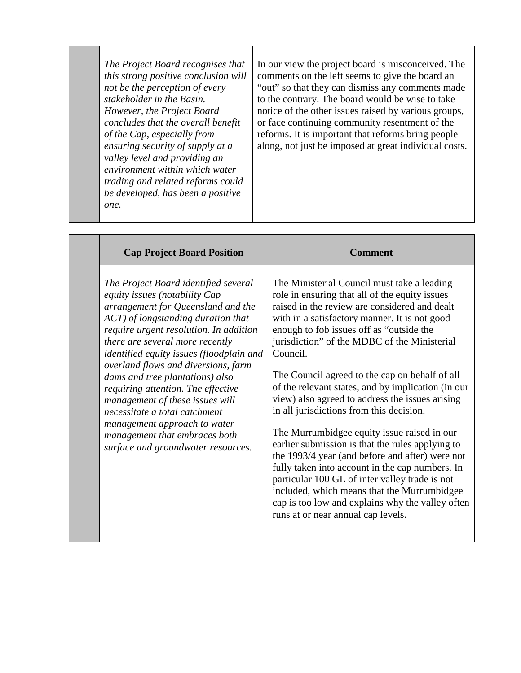| The Project Board recognises that<br>this strong positive conclusion will<br>not be the perception of every<br>stakeholder in the Basin.<br>However, the Project Board<br>concludes that the overall benefit<br>of the Cap, especially from<br>ensuring security of supply at a<br>valley level and providing an<br>environment within which water<br>trading and related reforms could<br>be developed, has been a positive<br>one. | In our view the project board is misconceived. The<br>comments on the left seems to give the board an<br>"out" so that they can dismiss any comments made<br>to the contrary. The board would be wise to take<br>notice of the other issues raised by various groups,<br>or face continuing community resentment of the<br>reforms. It is important that reforms bring people<br>along, not just be imposed at great individual costs. |
|--------------------------------------------------------------------------------------------------------------------------------------------------------------------------------------------------------------------------------------------------------------------------------------------------------------------------------------------------------------------------------------------------------------------------------------|----------------------------------------------------------------------------------------------------------------------------------------------------------------------------------------------------------------------------------------------------------------------------------------------------------------------------------------------------------------------------------------------------------------------------------------|
|                                                                                                                                                                                                                                                                                                                                                                                                                                      |                                                                                                                                                                                                                                                                                                                                                                                                                                        |

| <b>Cap Project Board Position</b>                                                                                                                                                                                                                                                                                                                                                                                                                                                                                                                                     | <b>Comment</b>                                                                                                                                                                                                                                                                                                                                                                                                                                                                                                                                                                                                                                                                                                                                                                                                                                                                                                     |
|-----------------------------------------------------------------------------------------------------------------------------------------------------------------------------------------------------------------------------------------------------------------------------------------------------------------------------------------------------------------------------------------------------------------------------------------------------------------------------------------------------------------------------------------------------------------------|--------------------------------------------------------------------------------------------------------------------------------------------------------------------------------------------------------------------------------------------------------------------------------------------------------------------------------------------------------------------------------------------------------------------------------------------------------------------------------------------------------------------------------------------------------------------------------------------------------------------------------------------------------------------------------------------------------------------------------------------------------------------------------------------------------------------------------------------------------------------------------------------------------------------|
| The Project Board identified several<br>equity issues (notability Cap<br>arrangement for Queensland and the<br>ACT) of longstanding duration that<br>require urgent resolution. In addition<br>there are several more recently<br>identified equity issues (floodplain and<br>overland flows and diversions, farm<br>dams and tree plantations) also<br>requiring attention. The effective<br>management of these issues will<br>necessitate a total catchment<br>management approach to water<br>management that embraces both<br>surface and groundwater resources. | The Ministerial Council must take a leading<br>role in ensuring that all of the equity issues<br>raised in the review are considered and dealt<br>with in a satisfactory manner. It is not good<br>enough to fob issues off as "outside the<br>jurisdiction" of the MDBC of the Ministerial<br>Council.<br>The Council agreed to the cap on behalf of all<br>of the relevant states, and by implication (in our<br>view) also agreed to address the issues arising<br>in all jurisdictions from this decision.<br>The Murrumbidgee equity issue raised in our<br>earlier submission is that the rules applying to<br>the 1993/4 year (and before and after) were not<br>fully taken into account in the cap numbers. In<br>particular 100 GL of inter valley trade is not<br>included, which means that the Murrumbidgee<br>cap is too low and explains why the valley often<br>runs at or near annual cap levels. |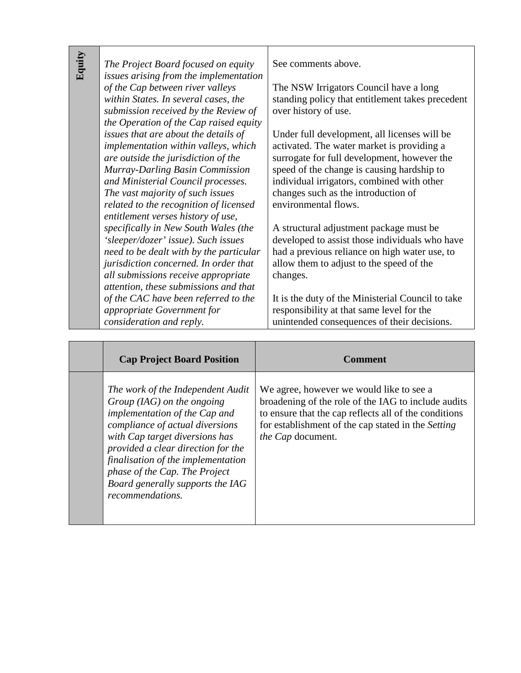| Equity | The Project Board focused on equity<br>issues arising from the implementation<br>of the Cap between river valleys<br>within States. In several cases, the<br>submission received by the Review of<br>the Operation of the Cap raised equity                                                                      | See comments above.<br>The NSW Irrigators Council have a long<br>standing policy that entitlement takes precedent<br>over history of use.                                                                                                                                                            |
|--------|------------------------------------------------------------------------------------------------------------------------------------------------------------------------------------------------------------------------------------------------------------------------------------------------------------------|------------------------------------------------------------------------------------------------------------------------------------------------------------------------------------------------------------------------------------------------------------------------------------------------------|
|        | issues that are about the details of<br>implementation within valleys, which<br>are outside the jurisdiction of the<br>Murray-Darling Basin Commission<br>and Ministerial Council processes.<br>The vast majority of such issues<br>related to the recognition of licensed<br>entitlement verses history of use, | Under full development, all licenses will be<br>activated. The water market is providing a<br>surrogate for full development, however the<br>speed of the change is causing hardship to<br>individual irrigators, combined with other<br>changes such as the introduction of<br>environmental flows. |
|        | specifically in New South Wales (the<br>'sleeper/dozer' issue). Such issues<br>need to be dealt with by the particular<br>jurisdiction concerned. In order that<br>all submissions receive appropriate<br>attention, these submissions and that                                                                  | A structural adjustment package must be<br>developed to assist those individuals who have<br>had a previous reliance on high water use, to<br>allow them to adjust to the speed of the<br>changes.                                                                                                   |
|        | of the CAC have been referred to the<br>appropriate Government for<br>consideration and reply.                                                                                                                                                                                                                   | It is the duty of the Ministerial Council to take<br>responsibility at that same level for the<br>unintended consequences of their decisions.                                                                                                                                                        |

| <b>Cap Project Board Position</b>                                                                                                                                                                                                                                                                                                            | Comment                                                                                                                                                                                                                                    |
|----------------------------------------------------------------------------------------------------------------------------------------------------------------------------------------------------------------------------------------------------------------------------------------------------------------------------------------------|--------------------------------------------------------------------------------------------------------------------------------------------------------------------------------------------------------------------------------------------|
| The work of the Independent Audit<br>$Group (IAG)$ on the ongoing<br>implementation of the Cap and<br>compliance of actual diversions<br>with Cap target diversions has<br>provided a clear direction for the<br>finalisation of the implementation<br>phase of the Cap. The Project<br>Board generally supports the IAG<br>recommendations. | We agree, however we would like to see a<br>broadening of the role of the IAG to include audits<br>to ensure that the cap reflects all of the conditions<br>for establishment of the cap stated in the Setting<br><i>the Cap</i> document. |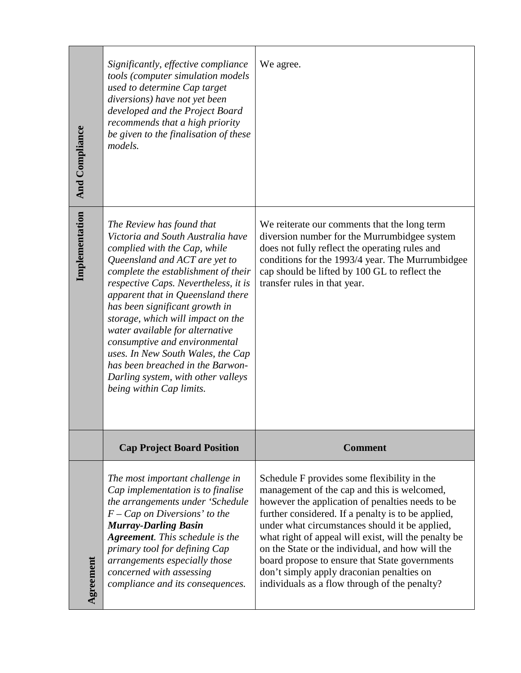| <b>And Compliance</b><br>Implementation | tools (computer simulation models<br>used to determine Cap target<br>diversions) have not yet been<br>developed and the Project Board<br>recommends that a high priority<br>be given to the finalisation of these<br>models.<br>The Review has found that<br>Victoria and South Australia have<br>complied with the Cap, while<br>Queensland and ACT are yet to<br>complete the establishment of their | We reiterate our comments that the long term<br>diversion number for the Murrumbidgee system<br>does not fully reflect the operating rules and<br>conditions for the 1993/4 year. The Murrumbidgee<br>cap should be lifted by 100 GL to reflect the |
|-----------------------------------------|--------------------------------------------------------------------------------------------------------------------------------------------------------------------------------------------------------------------------------------------------------------------------------------------------------------------------------------------------------------------------------------------------------|-----------------------------------------------------------------------------------------------------------------------------------------------------------------------------------------------------------------------------------------------------|
|                                         | respective Caps. Nevertheless, it is<br>apparent that in Queensland there<br>has been significant growth in<br>storage, which will impact on the<br>water available for alternative<br>consumptive and environmental<br>uses. In New South Wales, the Cap<br>has been breached in the Barwon-<br>Darling system, with other valleys                                                                    | transfer rules in that year.                                                                                                                                                                                                                        |
|                                         | being within Cap limits.                                                                                                                                                                                                                                                                                                                                                                               |                                                                                                                                                                                                                                                     |
|                                         | <b>Cap Project Board Position</b>                                                                                                                                                                                                                                                                                                                                                                      | <b>Comment</b>                                                                                                                                                                                                                                      |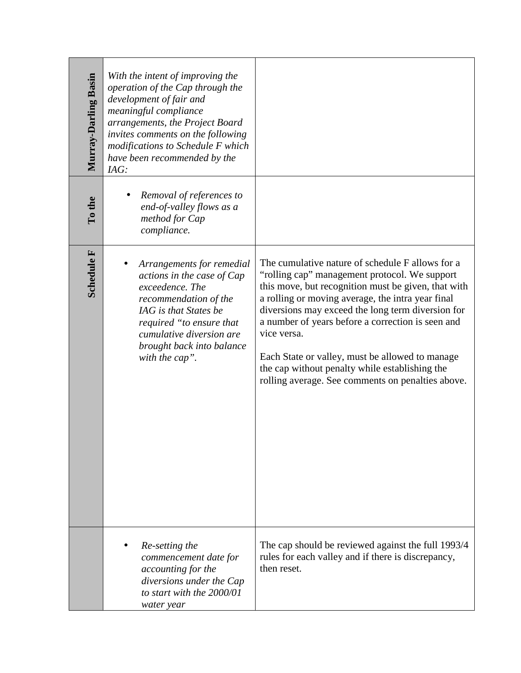| Murray-Darling Basin | With the intent of improving the<br>operation of the Cap through the<br>development of fair and<br>meaningful compliance<br>arrangements, the Project Board<br>invites comments on the following<br>modifications to Schedule F which<br>have been recommended by the<br>IAG: |                                                                                                                                                                                                                                                                                                                                                                                                                                                                                                  |
|----------------------|-------------------------------------------------------------------------------------------------------------------------------------------------------------------------------------------------------------------------------------------------------------------------------|--------------------------------------------------------------------------------------------------------------------------------------------------------------------------------------------------------------------------------------------------------------------------------------------------------------------------------------------------------------------------------------------------------------------------------------------------------------------------------------------------|
| $\Gamma$ o the       | Removal of references to<br>end-of-valley flows as a<br>method for Cap<br>compliance.                                                                                                                                                                                         |                                                                                                                                                                                                                                                                                                                                                                                                                                                                                                  |
| Schedule ${\bf F}$   | Arrangements for remedial<br>actions in the case of Cap<br>exceedence. The<br>recommendation of the<br>IAG is that States be<br>required "to ensure that<br>cumulative diversion are<br>brought back into balance<br>with the cap".                                           | The cumulative nature of schedule F allows for a<br>"rolling cap" management protocol. We support<br>this move, but recognition must be given, that with<br>a rolling or moving average, the intra year final<br>diversions may exceed the long term diversion for<br>a number of years before a correction is seen and<br>vice versa.<br>Each State or valley, must be allowed to manage<br>the cap without penalty while establishing the<br>rolling average. See comments on penalties above. |
|                      | Re-setting the<br>commencement date for<br>accounting for the<br>diversions under the Cap<br>to start with the 2000/01<br>water year                                                                                                                                          | The cap should be reviewed against the full 1993/4<br>rules for each valley and if there is discrepancy,<br>then reset.                                                                                                                                                                                                                                                                                                                                                                          |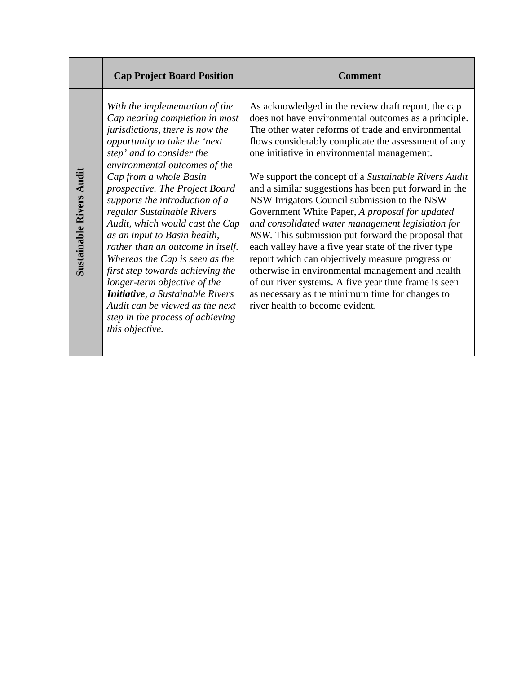|                                 | <b>Cap Project Board Position</b>                                                                                                                                                                                                                                                                                                                                                                                                                                                                                                                                                                                                                                                  | <b>Comment</b>                                                                                                                                                                                                                                                                                                                                                                                                                                                                                                                                                                                                                                                                                                                                                                                                                                                                                                      |
|---------------------------------|------------------------------------------------------------------------------------------------------------------------------------------------------------------------------------------------------------------------------------------------------------------------------------------------------------------------------------------------------------------------------------------------------------------------------------------------------------------------------------------------------------------------------------------------------------------------------------------------------------------------------------------------------------------------------------|---------------------------------------------------------------------------------------------------------------------------------------------------------------------------------------------------------------------------------------------------------------------------------------------------------------------------------------------------------------------------------------------------------------------------------------------------------------------------------------------------------------------------------------------------------------------------------------------------------------------------------------------------------------------------------------------------------------------------------------------------------------------------------------------------------------------------------------------------------------------------------------------------------------------|
| <b>Sustainable Rivers Audit</b> | With the implementation of the<br>Cap nearing completion in most<br>jurisdictions, there is now the<br>opportunity to take the 'next<br>step' and to consider the<br>environmental outcomes of the<br>Cap from a whole Basin<br>prospective. The Project Board<br>supports the introduction of a<br>regular Sustainable Rivers<br>Audit, which would cast the Cap<br>as an input to Basin health,<br>rather than an outcome in itself.<br>Whereas the Cap is seen as the<br>first step towards achieving the<br>longer-term objective of the<br><b>Initiative</b> , a Sustainable Rivers<br>Audit can be viewed as the next<br>step in the process of achieving<br>this objective. | As acknowledged in the review draft report, the cap<br>does not have environmental outcomes as a principle.<br>The other water reforms of trade and environmental<br>flows considerably complicate the assessment of any<br>one initiative in environmental management.<br>We support the concept of a Sustainable Rivers Audit<br>and a similar suggestions has been put forward in the<br>NSW Irrigators Council submission to the NSW<br>Government White Paper, A proposal for updated<br>and consolidated water management legislation for<br>NSW. This submission put forward the proposal that<br>each valley have a five year state of the river type<br>report which can objectively measure progress or<br>otherwise in environmental management and health<br>of our river systems. A five year time frame is seen<br>as necessary as the minimum time for changes to<br>river health to become evident. |